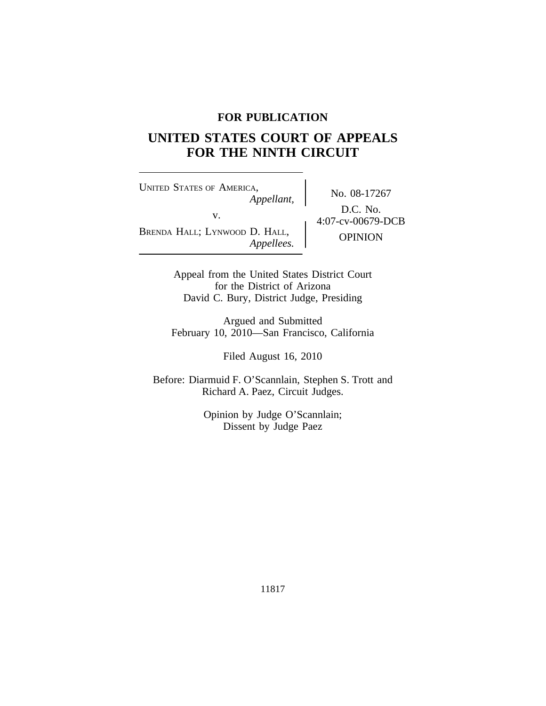## **FOR PUBLICATION**

# **UNITED STATES COURT OF APPEALS FOR THE NINTH CIRCUIT**

<sup>U</sup>NITED STATES OF AMERICA, v.  $64:07$ -cv-00679-DCB BRENDA HALL; LYNWOOD D. HALL,

No. 08-17267 *Appellant,* D.C. No. D. HALL,<br>*Appellees.* OPINION

Appeal from the United States District Court for the District of Arizona David C. Bury, District Judge, Presiding

Argued and Submitted February 10, 2010—San Francisco, California

Filed August 16, 2010

Before: Diarmuid F. O'Scannlain, Stephen S. Trott and Richard A. Paez, Circuit Judges.

> Opinion by Judge O'Scannlain; Dissent by Judge Paez

> > 11817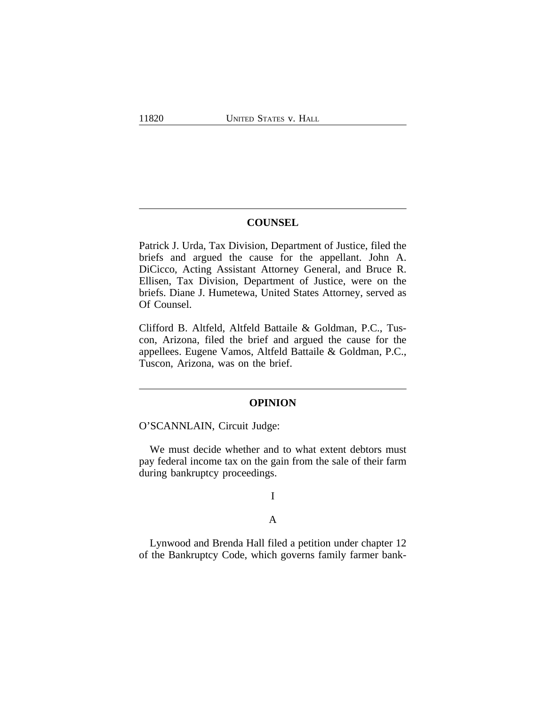## **COUNSEL**

Patrick J. Urda, Tax Division, Department of Justice, filed the briefs and argued the cause for the appellant. John A. DiCicco, Acting Assistant Attorney General, and Bruce R. Ellisen, Tax Division, Department of Justice, were on the briefs. Diane J. Humetewa, United States Attorney, served as Of Counsel.

Clifford B. Altfeld, Altfeld Battaile & Goldman, P.C., Tuscon, Arizona, filed the brief and argued the cause for the appellees. Eugene Vamos, Altfeld Battaile & Goldman, P.C., Tuscon, Arizona, was on the brief.

#### **OPINION**

O'SCANNLAIN, Circuit Judge:

We must decide whether and to what extent debtors must pay federal income tax on the gain from the sale of their farm during bankruptcy proceedings.

# I

## A

Lynwood and Brenda Hall filed a petition under chapter 12 of the Bankruptcy Code, which governs family farmer bank-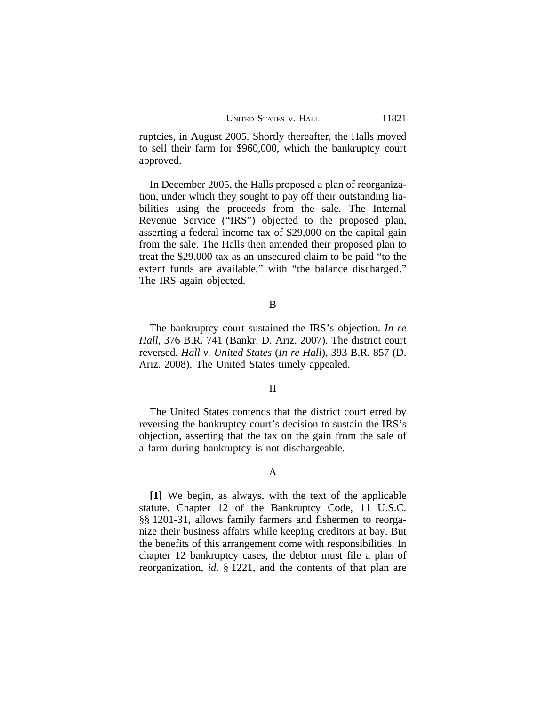| UNITED STATES V. HALL |  |  |
|-----------------------|--|--|
|-----------------------|--|--|

ruptcies, in August 2005. Shortly thereafter, the Halls moved to sell their farm for \$960,000, which the bankruptcy court approved.

In December 2005, the Halls proposed a plan of reorganization, under which they sought to pay off their outstanding liabilities using the proceeds from the sale. The Internal Revenue Service ("IRS") objected to the proposed plan, asserting a federal income tax of \$29,000 on the capital gain from the sale. The Halls then amended their proposed plan to treat the \$29,000 tax as an unsecured claim to be paid "to the extent funds are available," with "the balance discharged." The IRS again objected*.*

## B

The bankruptcy court sustained the IRS's objection. *In re Hall*, 376 B.R. 741 (Bankr. D. Ariz. 2007). The district court reversed. *Hall v. United States* (*In re Hall*), 393 B.R. 857 (D. Ariz. 2008). The United States timely appealed.

#### II

The United States contends that the district court erred by reversing the bankruptcy court's decision to sustain the IRS's objection, asserting that the tax on the gain from the sale of a farm during bankruptcy is not dischargeable.

#### A

**[1]** We begin, as always, with the text of the applicable statute. Chapter 12 of the Bankruptcy Code, 11 U.S.C. §§ 1201-31, allows family farmers and fishermen to reorganize their business affairs while keeping creditors at bay. But the benefits of this arrangement come with responsibilities. In chapter 12 bankruptcy cases, the debtor must file a plan of reorganization, *id*. § 1221, and the contents of that plan are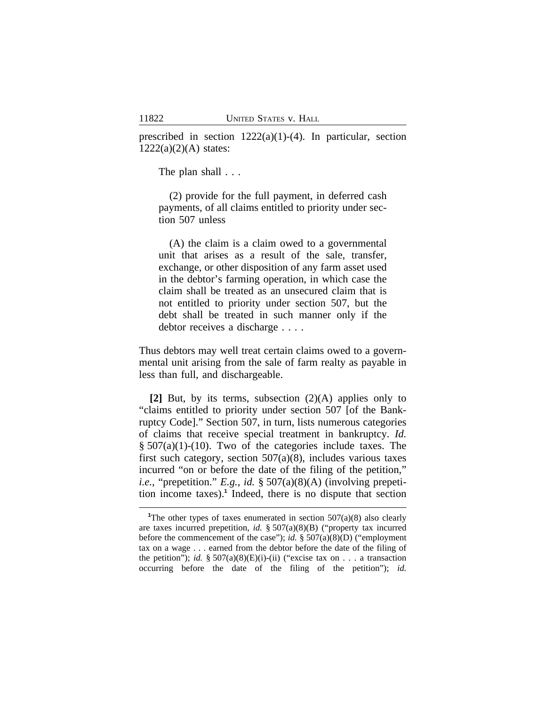prescribed in section  $1222(a)(1)-(4)$ . In particular, section  $1222(a)(2)(A)$  states:

The plan shall  $\ldots$ 

(2) provide for the full payment, in deferred cash payments, of all claims entitled to priority under section 507 unless

(A) the claim is a claim owed to a governmental unit that arises as a result of the sale, transfer, exchange, or other disposition of any farm asset used in the debtor's farming operation, in which case the claim shall be treated as an unsecured claim that is not entitled to priority under section 507, but the debt shall be treated in such manner only if the debtor receives a discharge . . . .

Thus debtors may well treat certain claims owed to a governmental unit arising from the sale of farm realty as payable in less than full, and dischargeable.

**[2]** But, by its terms, subsection (2)(A) applies only to "claims entitled to priority under section 507 [of the Bankruptcy Code]." Section 507, in turn, lists numerous categories of claims that receive special treatment in bankruptcy. *Id.*  $§ 507(a)(1)-(10)$ . Two of the categories include taxes. The first such category, section 507(a)(8), includes various taxes incurred "on or before the date of the filing of the petition," *i.e.*, "prepetition." *E.g.*, *id.* § 507(a)(8)(A) (involving prepetition income taxes).**<sup>1</sup>** Indeed, there is no dispute that section

<sup>&</sup>lt;sup>1</sup>The other types of taxes enumerated in section  $507(a)(8)$  also clearly are taxes incurred prepetition, *id.* § 507(a)(8)(B) ("property tax incurred before the commencement of the case"); *id.* § 507(a)(8)(D) ("employment tax on a wage . . . earned from the debtor before the date of the filing of the petition"); *id.*  $\S 507(a)(8)(E)(i)$ -(ii) ("excise tax on . . . a transaction occurring before the date of the filing of the petition"); *id.*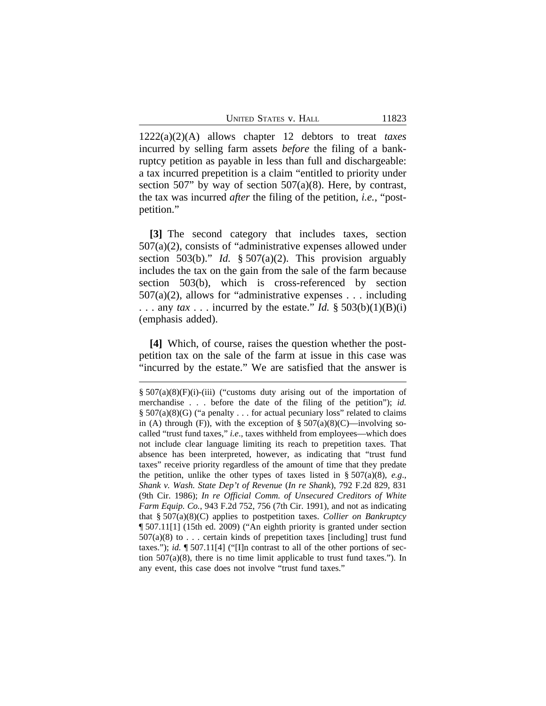1222(a)(2)(A) allows chapter 12 debtors to treat *taxes* incurred by selling farm assets *before* the filing of a bankruptcy petition as payable in less than full and dischargeable: a tax incurred prepetition is a claim "entitled to priority under section 507" by way of section 507 $(a)(8)$ . Here, by contrast, the tax was incurred *after* the filing of the petition, *i.e.*, "postpetition."

**[3]** The second category that includes taxes, section 507(a)(2), consists of "administrative expenses allowed under section 503(b)." *Id.* § 507(a)(2). This provision arguably includes the tax on the gain from the sale of the farm because section 503(b), which is cross-referenced by section 507(a)(2), allows for "administrative expenses . . . including ... any  $tax$ ... incurred by the estate." *Id.* § 503(b)(1)(B)(i) (emphasis added).

**[4]** Which, of course, raises the question whether the postpetition tax on the sale of the farm at issue in this case was "incurred by the estate." We are satisfied that the answer is

<sup>§</sup> 507(a)(8)(F)(i)-(iii) ("customs duty arising out of the importation of merchandise . . . before the date of the filing of the petition"); *id.*  $§ 507(a)(8)(G)$  ("a penalty . . . for actual pecuniary loss" related to claims in (A) through (F)), with the exception of  $\S 507(a)(8)(C)$ —involving socalled "trust fund taxes," *i.e*., taxes withheld from employees—which does not include clear language limiting its reach to prepetition taxes. That absence has been interpreted, however, as indicating that "trust fund taxes" receive priority regardless of the amount of time that they predate the petition, unlike the other types of taxes listed in  $\S 507(a)(8)$ , *e.g.*, *Shank v. Wash. State Dep't of Revenue* (*In re Shank*), 792 F.2d 829, 831 (9th Cir. 1986); *In re Official Comm. of Unsecured Creditors of White Farm Equip. Co.*, 943 F.2d 752, 756 (7th Cir. 1991), and not as indicating that § 507(a)(8)(C) applies to postpetition taxes. *Collier on Bankruptcy* ¶ 507.11[1] (15th ed. 2009) ("An eighth priority is granted under section  $507(a)(8)$  to . . . certain kinds of prepetition taxes [including] trust fund taxes."); *id.* ¶ 507.11[4] ("[I]n contrast to all of the other portions of section 507(a)(8), there is no time limit applicable to trust fund taxes."). In any event, this case does not involve "trust fund taxes."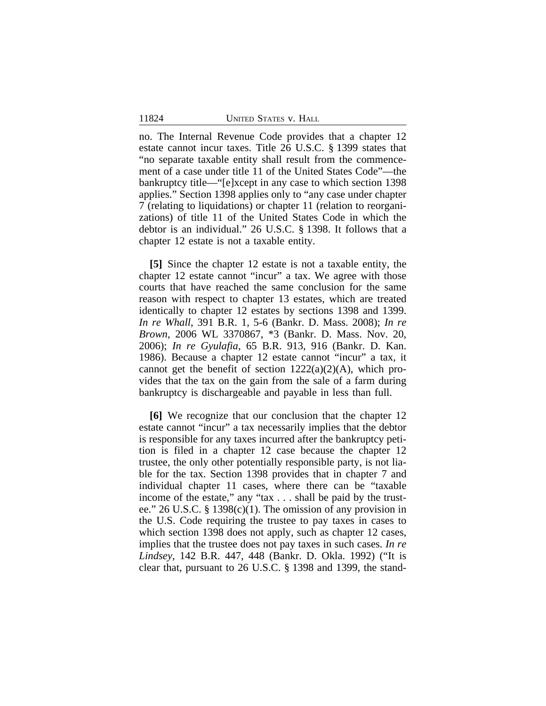no. The Internal Revenue Code provides that a chapter 12 estate cannot incur taxes. Title 26 U.S.C. § 1399 states that "no separate taxable entity shall result from the commencement of a case under title 11 of the United States Code"—the bankruptcy title—"[e]xcept in any case to which section 1398 applies." Section 1398 applies only to "any case under chapter 7 (relating to liquidations) or chapter 11 (relation to reorganizations) of title 11 of the United States Code in which the debtor is an individual." 26 U.S.C. § 1398. It follows that a chapter 12 estate is not a taxable entity.

**[5]** Since the chapter 12 estate is not a taxable entity, the chapter 12 estate cannot "incur" a tax. We agree with those courts that have reached the same conclusion for the same reason with respect to chapter 13 estates, which are treated identically to chapter 12 estates by sections 1398 and 1399. *In re Whall*, 391 B.R. 1, 5-6 (Bankr. D. Mass. 2008); *In re Brown*, 2006 WL 3370867, \*3 (Bankr. D. Mass. Nov. 20, 2006); *In re Gyulafia*, 65 B.R. 913, 916 (Bankr. D. Kan. 1986). Because a chapter 12 estate cannot "incur" a tax, it cannot get the benefit of section  $1222(a)(2)(A)$ , which provides that the tax on the gain from the sale of a farm during bankruptcy is dischargeable and payable in less than full.

**[6]** We recognize that our conclusion that the chapter 12 estate cannot "incur" a tax necessarily implies that the debtor is responsible for any taxes incurred after the bankruptcy petition is filed in a chapter 12 case because the chapter 12 trustee, the only other potentially responsible party, is not liable for the tax. Section 1398 provides that in chapter 7 and individual chapter 11 cases, where there can be "taxable income of the estate," any "tax . . . shall be paid by the trustee." 26 U.S.C. § 1398(c)(1). The omission of any provision in the U.S. Code requiring the trustee to pay taxes in cases to which section 1398 does not apply, such as chapter 12 cases, implies that the trustee does not pay taxes in such cases. *In re Lindsey*, 142 B.R. 447, 448 (Bankr. D. Okla. 1992) ("It is clear that, pursuant to 26 U.S.C. § 1398 and 1399, the stand-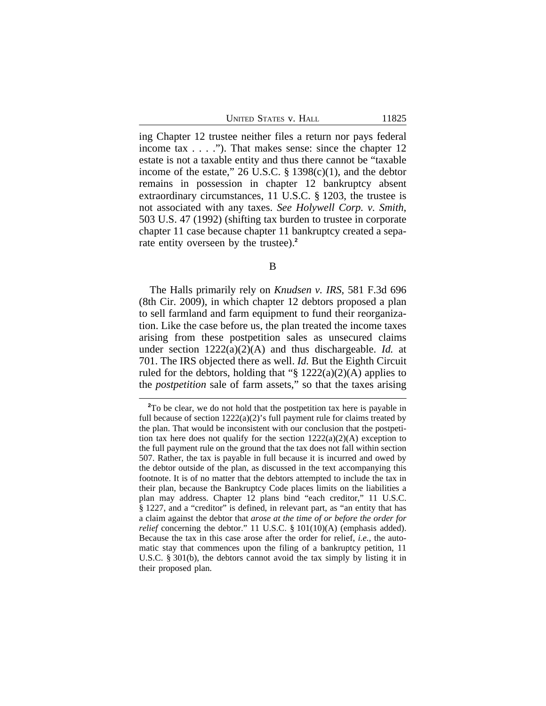ing Chapter 12 trustee neither files a return nor pays federal income tax . . . ."). That makes sense: since the chapter 12 estate is not a taxable entity and thus there cannot be "taxable income of the estate," 26 U.S.C.  $\S$  1398(c)(1), and the debtor remains in possession in chapter 12 bankruptcy absent extraordinary circumstances, 11 U.S.C. § 1203, the trustee is not associated with any taxes. *See Holywell Corp. v. Smith*, 503 U.S. 47 (1992) (shifting tax burden to trustee in corporate chapter 11 case because chapter 11 bankruptcy created a separate entity overseen by the trustee).**<sup>2</sup>**

B

The Halls primarily rely on *Knudsen v. IRS*, 581 F.3d 696 (8th Cir. 2009), in which chapter 12 debtors proposed a plan to sell farmland and farm equipment to fund their reorganization. Like the case before us, the plan treated the income taxes arising from these postpetition sales as unsecured claims under section 1222(a)(2)(A) and thus dischargeable. *Id.* at 701. The IRS objected there as well. *Id.* But the Eighth Circuit ruled for the debtors, holding that " $\S 1222(a)(2)(A)$  applies to the *postpetition* sale of farm assets," so that the taxes arising

**<sup>2</sup>**To be clear, we do not hold that the postpetition tax here is payable in full because of section  $1222(a)(2)$ 's full payment rule for claims treated by the plan. That would be inconsistent with our conclusion that the postpetition tax here does not qualify for the section  $1222(a)(2)(A)$  exception to the full payment rule on the ground that the tax does not fall within section 507. Rather, the tax is payable in full because it is incurred and owed by the debtor outside of the plan, as discussed in the text accompanying this footnote. It is of no matter that the debtors attempted to include the tax in their plan, because the Bankruptcy Code places limits on the liabilities a plan may address. Chapter 12 plans bind "each creditor," 11 U.S.C. § 1227, and a "creditor" is defined, in relevant part, as "an entity that has a claim against the debtor that *arose at the time of or before the order for relief* concerning the debtor." 11 U.S.C. § 101(10)(A) (emphasis added). Because the tax in this case arose after the order for relief, *i.e.*, the automatic stay that commences upon the filing of a bankruptcy petition, 11 U.S.C. § 301(b), the debtors cannot avoid the tax simply by listing it in their proposed plan.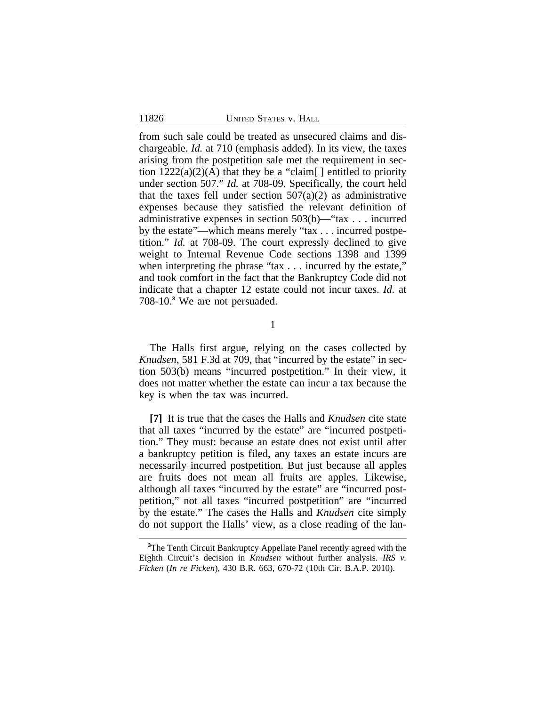from such sale could be treated as unsecured claims and dischargeable. *Id.* at 710 (emphasis added). In its view, the taxes arising from the postpetition sale met the requirement in section  $1222(a)(2)(A)$  that they be a "claim[] entitled to priority under section 507." *Id.* at 708-09. Specifically, the court held that the taxes fell under section  $507(a)(2)$  as administrative expenses because they satisfied the relevant definition of administrative expenses in section 503(b)—"tax . . . incurred by the estate"—which means merely "tax . . . incurred postpetition." *Id.* at 708-09. The court expressly declined to give weight to Internal Revenue Code sections 1398 and 1399 when interpreting the phrase "tax . . . incurred by the estate," and took comfort in the fact that the Bankruptcy Code did not indicate that a chapter 12 estate could not incur taxes. *Id.* at 708-10.**<sup>3</sup>** We are not persuaded.

1

The Halls first argue, relying on the cases collected by *Knudsen*, 581 F.3d at 709, that "incurred by the estate" in section 503(b) means "incurred postpetition." In their view, it does not matter whether the estate can incur a tax because the key is when the tax was incurred.

**[7]** It is true that the cases the Halls and *Knudsen* cite state that all taxes "incurred by the estate" are "incurred postpetition." They must: because an estate does not exist until after a bankruptcy petition is filed, any taxes an estate incurs are necessarily incurred postpetition. But just because all apples are fruits does not mean all fruits are apples. Likewise, although all taxes "incurred by the estate" are "incurred postpetition," not all taxes "incurred postpetition" are "incurred by the estate." The cases the Halls and *Knudsen* cite simply do not support the Halls' view, as a close reading of the lan-

**<sup>3</sup>**The Tenth Circuit Bankruptcy Appellate Panel recently agreed with the Eighth Circuit's decision in *Knudsen* without further analysis. *IRS v. Ficken* (*In re Ficken*), 430 B.R. 663, 670-72 (10th Cir. B.A.P. 2010).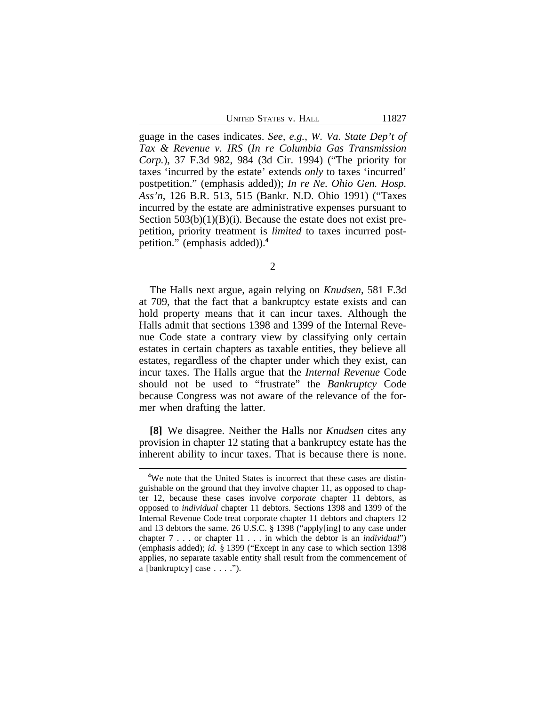guage in the cases indicates. *See, e.g.*, *W. Va. State Dep't of Tax & Revenue v. IRS* (*In re Columbia Gas Transmission Corp.*), 37 F.3d 982, 984 (3d Cir. 1994) ("The priority for taxes 'incurred by the estate' extends *only* to taxes 'incurred' postpetition." (emphasis added)); *In re Ne. Ohio Gen. Hosp. Ass'n*, 126 B.R. 513, 515 (Bankr. N.D. Ohio 1991) ("Taxes incurred by the estate are administrative expenses pursuant to Section  $503(b)(1)(B)(i)$ . Because the estate does not exist prepetition, priority treatment is *limited* to taxes incurred postpetition." (emphasis added)).**<sup>4</sup>**

2

The Halls next argue, again relying on *Knudsen*, 581 F.3d at 709, that the fact that a bankruptcy estate exists and can hold property means that it can incur taxes. Although the Halls admit that sections 1398 and 1399 of the Internal Revenue Code state a contrary view by classifying only certain estates in certain chapters as taxable entities, they believe all estates, regardless of the chapter under which they exist, can incur taxes. The Halls argue that the *Internal Revenue* Code should not be used to "frustrate" the *Bankruptcy* Code because Congress was not aware of the relevance of the former when drafting the latter.

**[8]** We disagree. Neither the Halls nor *Knudsen* cites any provision in chapter 12 stating that a bankruptcy estate has the inherent ability to incur taxes. That is because there is none.

**<sup>4</sup>**We note that the United States is incorrect that these cases are distinguishable on the ground that they involve chapter 11, as opposed to chapter 12, because these cases involve *corporate* chapter 11 debtors, as opposed to *individual* chapter 11 debtors. Sections 1398 and 1399 of the Internal Revenue Code treat corporate chapter 11 debtors and chapters 12 and 13 debtors the same. 26 U.S.C. § 1398 ("apply[ing] to any case under chapter 7 . . . or chapter 11 . . . in which the debtor is an *individual*") (emphasis added); *id.* § 1399 ("Except in any case to which section 1398 applies, no separate taxable entity shall result from the commencement of a [bankruptcy] case . . . .").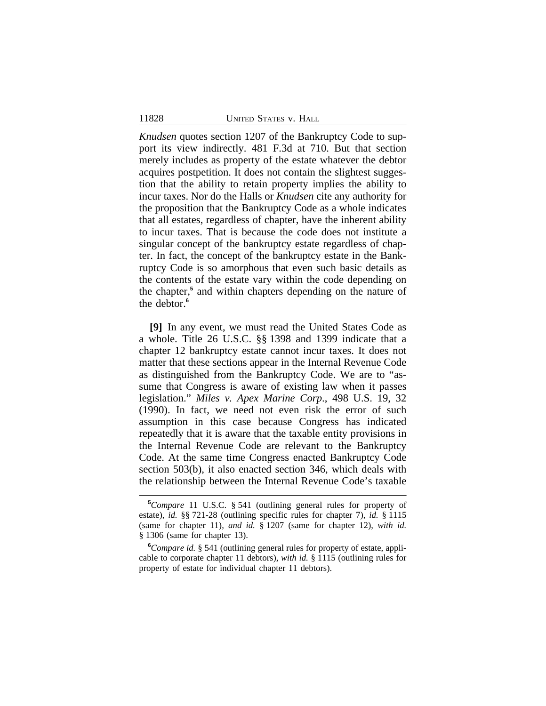*Knudsen* quotes section 1207 of the Bankruptcy Code to support its view indirectly. 481 F.3d at 710. But that section merely includes as property of the estate whatever the debtor acquires postpetition. It does not contain the slightest suggestion that the ability to retain property implies the ability to incur taxes. Nor do the Halls or *Knudsen* cite any authority for the proposition that the Bankruptcy Code as a whole indicates that all estates, regardless of chapter, have the inherent ability to incur taxes. That is because the code does not institute a singular concept of the bankruptcy estate regardless of chapter. In fact, the concept of the bankruptcy estate in the Bankruptcy Code is so amorphous that even such basic details as the contents of the estate vary within the code depending on the chapter,<sup>5</sup> and within chapters depending on the nature of the debtor.**<sup>6</sup>**

**[9]** In any event, we must read the United States Code as a whole. Title 26 U.S.C. §§ 1398 and 1399 indicate that a chapter 12 bankruptcy estate cannot incur taxes. It does not matter that these sections appear in the Internal Revenue Code as distinguished from the Bankruptcy Code. We are to "assume that Congress is aware of existing law when it passes legislation." *Miles v. Apex Marine Corp*., 498 U.S. 19, 32 (1990). In fact, we need not even risk the error of such assumption in this case because Congress has indicated repeatedly that it is aware that the taxable entity provisions in the Internal Revenue Code are relevant to the Bankruptcy Code. At the same time Congress enacted Bankruptcy Code section 503(b), it also enacted section 346, which deals with the relationship between the Internal Revenue Code's taxable

**<sup>5</sup>***Compare* 11 U.S.C. § 541 (outlining general rules for property of estate), *id.* §§ 721-28 (outlining specific rules for chapter 7), *id.* § 1115 (same for chapter 11), *and id.* § 1207 (same for chapter 12), *with id.* § 1306 (same for chapter 13).

**<sup>6</sup>***Compare id.* § 541 (outlining general rules for property of estate, applicable to corporate chapter 11 debtors), *with id.* § 1115 (outlining rules for property of estate for individual chapter 11 debtors).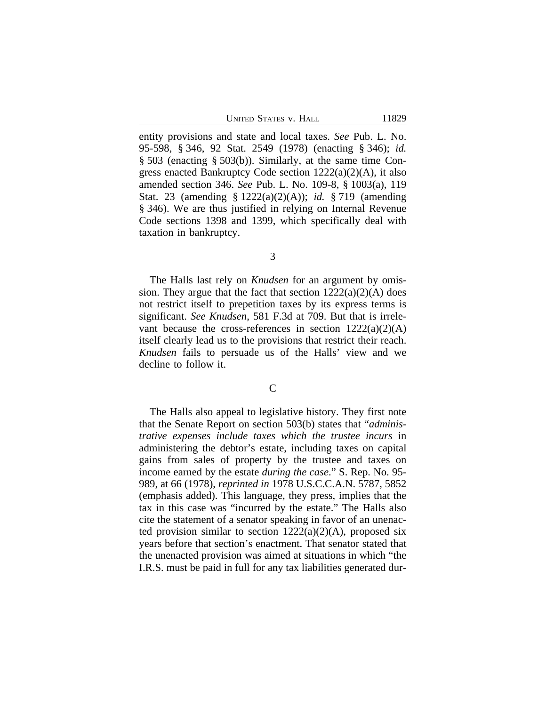entity provisions and state and local taxes. *See* Pub. L. No. 95-598, § 346, 92 Stat. 2549 (1978) (enacting § 346); *id.* § 503 (enacting § 503(b)). Similarly, at the same time Congress enacted Bankruptcy Code section 1222(a)(2)(A), it also amended section 346. *See* Pub. L. No. 109-8, § 1003(a), 119 Stat. 23 (amending § 1222(a)(2)(A)); *id.* § 719 (amending § 346). We are thus justified in relying on Internal Revenue Code sections 1398 and 1399, which specifically deal with taxation in bankruptcy.

3

The Halls last rely on *Knudsen* for an argument by omission. They argue that the fact that section  $1222(a)(2)(A)$  does not restrict itself to prepetition taxes by its express terms is significant. *See Knudsen*, 581 F.3d at 709. But that is irrelevant because the cross-references in section  $1222(a)(2)(A)$ itself clearly lead us to the provisions that restrict their reach. *Knudsen* fails to persuade us of the Halls' view and we decline to follow it.

C

The Halls also appeal to legislative history. They first note that the Senate Report on section 503(b) states that "*administrative expenses include taxes which the trustee incurs* in administering the debtor's estate, including taxes on capital gains from sales of property by the trustee and taxes on income earned by the estate *during the case*." S. Rep. No. 95- 989, at 66 (1978), *reprinted in* 1978 U.S.C.C.A.N. 5787, 5852 (emphasis added). This language, they press, implies that the tax in this case was "incurred by the estate." The Halls also cite the statement of a senator speaking in favor of an unenacted provision similar to section  $1222(a)(2)(A)$ , proposed six years before that section's enactment. That senator stated that the unenacted provision was aimed at situations in which "the I.R.S. must be paid in full for any tax liabilities generated dur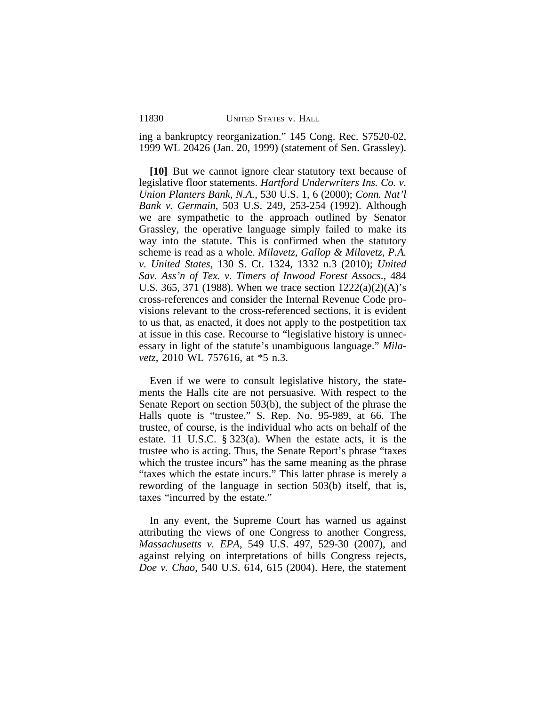ing a bankruptcy reorganization." 145 Cong. Rec. S7520-02, 1999 WL 20426 (Jan. 20, 1999) (statement of Sen. Grassley).

**[10]** But we cannot ignore clear statutory text because of legislative floor statements. *Hartford Underwriters Ins. Co. v. Union Planters Bank, N.A.*, 530 U.S. 1, 6 (2000); *Conn. Nat'l Bank v. Germain*, 503 U.S. 249, 253-254 (1992). Although we are sympathetic to the approach outlined by Senator Grassley, the operative language simply failed to make its way into the statute. This is confirmed when the statutory scheme is read as a whole. *Milavetz, Gallop & Milavetz, P.A. v. United States*, 130 S. Ct. 1324, 1332 n.3 (2010); *United Sav. Ass'n of Tex. v. Timers of Inwood Forest Assocs*., 484 U.S. 365, 371 (1988). When we trace section 1222(a)(2)(A)'s cross-references and consider the Internal Revenue Code provisions relevant to the cross-referenced sections, it is evident to us that, as enacted, it does not apply to the postpetition tax at issue in this case. Recourse to "legislative history is unnecessary in light of the statute's unambiguous language." *Milavetz*, 2010 WL 757616, at \*5 n.3.

Even if we were to consult legislative history, the statements the Halls cite are not persuasive. With respect to the Senate Report on section 503(b), the subject of the phrase the Halls quote is "trustee." S. Rep. No. 95-989, at 66. The trustee, of course, is the individual who acts on behalf of the estate. 11 U.S.C. § 323(a). When the estate acts, it is the trustee who is acting. Thus, the Senate Report's phrase "taxes which the trustee incurs" has the same meaning as the phrase "taxes which the estate incurs." This latter phrase is merely a rewording of the language in section 503(b) itself, that is, taxes "incurred by the estate."

In any event, the Supreme Court has warned us against attributing the views of one Congress to another Congress, *Massachusetts v. EPA*, 549 U.S. 497, 529-30 (2007), and against relying on interpretations of bills Congress rejects, *Doe v. Chao*, 540 U.S. 614, 615 (2004). Here, the statement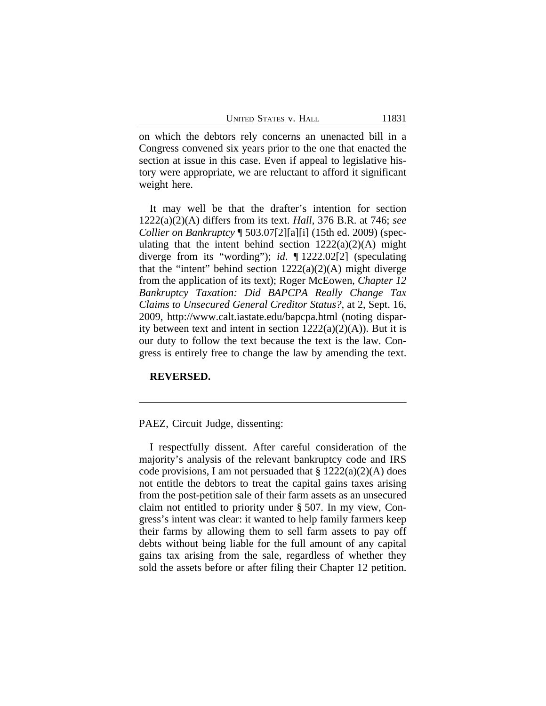on which the debtors rely concerns an unenacted bill in a Congress convened six years prior to the one that enacted the section at issue in this case. Even if appeal to legislative history were appropriate, we are reluctant to afford it significant weight here.

It may well be that the drafter's intention for section 1222(a)(2)(A) differs from its text. *Hall*, 376 B.R. at 746; *see Collier on Bankruptcy* ¶ 503.07[2][a][i] (15th ed. 2009) (speculating that the intent behind section  $1222(a)(2)(A)$  might diverge from its "wording"); *id*. ¶ 1222.02[2] (speculating that the "intent" behind section  $1222(a)(2)(A)$  might diverge from the application of its text); Roger McEowen, *Chapter 12 Bankruptcy Taxation: Did BAPCPA Really Change Tax Claims to Unsecured General Creditor Status?*, at 2, Sept. 16, 2009, http://www.calt.iastate.edu/bapcpa.html (noting disparity between text and intent in section  $1222(a)(2)(A)$ ). But it is our duty to follow the text because the text is the law. Congress is entirely free to change the law by amending the text.

#### **REVERSED.**

PAEZ, Circuit Judge, dissenting:

I respectfully dissent. After careful consideration of the majority's analysis of the relevant bankruptcy code and IRS code provisions, I am not persuaded that  $\S 1222(a)(2)(A)$  does not entitle the debtors to treat the capital gains taxes arising from the post-petition sale of their farm assets as an unsecured claim not entitled to priority under § 507. In my view, Congress's intent was clear: it wanted to help family farmers keep their farms by allowing them to sell farm assets to pay off debts without being liable for the full amount of any capital gains tax arising from the sale, regardless of whether they sold the assets before or after filing their Chapter 12 petition.